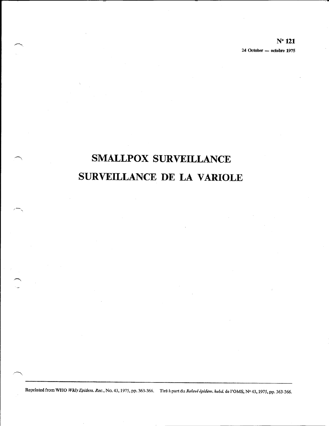$N^{\circ}$  121 24 October — octobre 1975

# **SMALLPOX SURVEILLANCE** SURVEILLANCE DE LA VARIOLE

Reprinted from WHO Wkly Epidem. Rec., No. 43, 1975, pp. 363-366. Tiré à part du Relevé épidém. hebd. de l'OMS, Nº 43, 1975, pp. 363-366.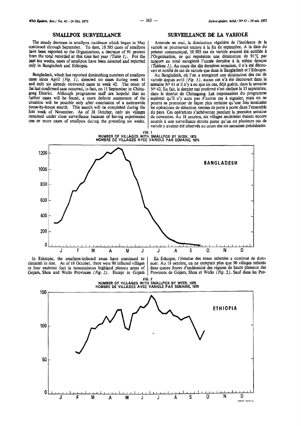### **SMALLPOX SURVEILLANCE**

The steady decrease in smallpox incidence which began in May continued through September. To date, 18 505 cases of smallpox have been reported to the Organization, a decrease of 91 percent from the total recorded at this time last year *(Table 1).* For the past ten weeks, cases of smallpox have been detected and reported only in Bangladesh and Ethiopia.

Bangladesh, which has reported diminishing numbers of smallpox cases since April  $(Fig. I)$ , detected no cases during week 41 and only six already recovered cases in week 42. The onset of the last confirmed case occurred, in fact, on 15 September in Chitta-gong District. Although programme staff are hopeful that no further cases will be found, a more definite assessment of the situation will be possible only after conclusion of a nationwide house-by-house search. This search will be completed during the first week of November. As of 18 October, only six villages remained under close surveillance because of having experienced one or more cases of smallpox during the preceding six weeks.

#### **SURVEILLANCE DE LA VARIOLE**

Amorcée en mai, la diminution régulière de l'incidence de la variole se poursuivait encore à la fin de septembre. A la date du present communique, 18 505 cas de variole avaient ete notifies a !'Organisation, ce qui represente une diminution de 91% par rapport au total enregistré l'année dernière à la même époque *(Tableau* J). Au cours des dix demieres semaines, i1 n'a ete decouvert et notifie de cas de variole que dans le Bangladesh et I 'Ethiopie.

Au Bangladesh, où l'on a enregistré une diminution des cas de variole depuis avril (Fig.  $I$ ), aucun cas n'a été découvert dans la semaine  $N<sup>o</sup>$  41 et il n'y a eu que six cas, déjà guéris, dans la semaine N° 42. En fait, le dernier cas confirmé s'est déclare le 15 septembre, dans le district de Chittagong. Les responsables du programme espèrent qu'il n'y aura pas d'autres cas à signaler, mais on ne pourra se prononcer de façon plus certaine qu'une fois terminées les opérations de détection menées de porte à porte dans l'ensemble du pays. Ces operations s'acheveront pendant Ia premiere semaine de novembre. Au 18 octobre, six villages seulement etaient encore soumis a une surveillance etroite parce qu'un ou plusieurs cas de variole y avaient été observés au cours des six semaines précédentes.





In Ethiopia, the smallpox-infected areas have continued to diminish in size. As of 18 October, there were 90 infected villages in four endemic foci in mountainous highland plateau areas of Gojam, Shoa and Wollo Provinces (*Fig. 2*). Except in Gojam En Ethiopie, l'etendue des zones infectees a continue de dimi- nuer. Au 18 octobre, on ne comptait plus que 90 villages infectes dans quatre foyers d'endemicite des regions de hauts plateaux des Provinces de Gojam, Shoa et Wollo (Fig. 2). Sauf dans les Pro-

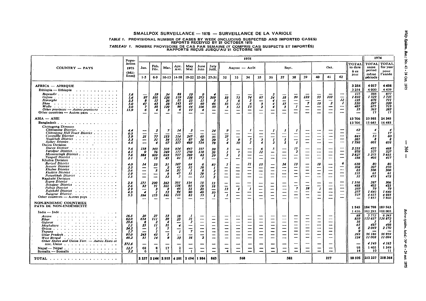SMALLPOX SURVEILLANCE - 1975 - SURVEILLANCE DE LA VARIOLE

TABLE 1. PROVISIONAL NUMBER OF CASES BY WEEK (INCLUDING SUSPECTED AND IMPORTED CASES) TABLEAU 1. NOMBRE PROVISOIRE DE CAS PAR SEMAINE (Y COMPRIS CAS SUSPECTS ET IMPORTÉS)<br>RAPPORTS REÇUS JUSQU'AU 21 OCTOBRE 1975

|                                                                                                                                                                                                                                                                                                                                                                                                                                                                                                                                                                                                                                                                                                                                                                                                                                                                                                                                                                                                                                                                                                                                                                                                                                  | Popu-                                                       |                                                                       | 1975                                                  |                                         |                                                                   |                                                                             |                                                        |                                                  |                                                           |                                                                                   |                                                                                   |                                                                        |                                                                |                                |                                                                                                                               |                                                                                                              |                                                | 1974                                                                                                             |                                                                                                           |                                                           |                                                                      |                                                                   |
|----------------------------------------------------------------------------------------------------------------------------------------------------------------------------------------------------------------------------------------------------------------------------------------------------------------------------------------------------------------------------------------------------------------------------------------------------------------------------------------------------------------------------------------------------------------------------------------------------------------------------------------------------------------------------------------------------------------------------------------------------------------------------------------------------------------------------------------------------------------------------------------------------------------------------------------------------------------------------------------------------------------------------------------------------------------------------------------------------------------------------------------------------------------------------------------------------------------------------------|-------------------------------------------------------------|-----------------------------------------------------------------------|-------------------------------------------------------|-----------------------------------------|-------------------------------------------------------------------|-----------------------------------------------------------------------------|--------------------------------------------------------|--------------------------------------------------|-----------------------------------------------------------|-----------------------------------------------------------------------------------|-----------------------------------------------------------------------------------|------------------------------------------------------------------------|----------------------------------------------------------------|--------------------------------|-------------------------------------------------------------------------------------------------------------------------------|--------------------------------------------------------------------------------------------------------------|------------------------------------------------|------------------------------------------------------------------------------------------------------------------|-----------------------------------------------------------------------------------------------------------|-----------------------------------------------------------|----------------------------------------------------------------------|-------------------------------------------------------------------|
| <b>COUNTRY - PAYS</b>                                                                                                                                                                                                                                                                                                                                                                                                                                                                                                                                                                                                                                                                                                                                                                                                                                                                                                                                                                                                                                                                                                                                                                                                            | lation<br>1975<br>(Mil-<br>lions)                           | Jan.                                                                  | Feb.<br>Fév.                                          | Mar.                                    | Apr.<br>Avt.                                                      | May<br>Mal                                                                  | June<br>Juin                                           | July<br>Juill.                                   | August - Août                                             |                                                                                   |                                                                                   |                                                                        | Sept.                                                          |                                |                                                                                                                               |                                                                                                              | Oct,                                           |                                                                                                                  |                                                                                                           | <b>TOTAL</b><br>to date<br>à ce                           | <b>TOTAL TOTAL</b><br>same<br>period                                 | for year<br>pour                                                  |
|                                                                                                                                                                                                                                                                                                                                                                                                                                                                                                                                                                                                                                                                                                                                                                                                                                                                                                                                                                                                                                                                                                                                                                                                                                  |                                                             | $1 - 5$                                                               | $6-9$                                                 | $10 - 13$                               | $14-18$                                                           | $19 - 22$                                                                   | $23 - 26$ 27-31                                        |                                                  | 32                                                        | 33                                                                                | 34                                                                                | 35                                                                     | 36                                                             | 37                             | 38                                                                                                                            | 39                                                                                                           | 40                                             | 41                                                                                                               | 42                                                                                                        | iour                                                      | même<br>période                                                      | l'année                                                           |
| <b>AFRICA - AFRIQUE</b><br>Ethiopia - Ethiopie<br>$Begemdir : \ldots : \ldots : \ldots : \ldots : \ldots$<br>Gojam $\cdots$ $\cdots$ $\cdots$ $\cdots$ $\cdots$ $\cdots$ $\cdots$ $\cdots$ $\cdots$<br>Hararghe contract of the state of the Harar state of the Harar state of the Harar state of the Harar state of the Harar state of the Harar state of the Harar state of the Harar state of the Harar state of the Harar state o<br>Shoa a carracteria carracteria<br>Other provinces $-$ Autres provinces $\ldots$ .<br>Other countries $-$ Autres pays                                                                                                                                                                                                                                                                                                                                                                                                                                                                                                                                                                                                                                                                    | 1.6<br>7,6<br>2.5<br>5.0<br>2.0<br>11.9                     | 97<br>8<br>47<br>$\boldsymbol{\tau}$<br>б                             | 19<br>101<br>15<br>43<br>38                           | 34<br>126<br>26<br>28<br>129<br>3       | 88<br>119<br>21<br>145<br>90<br>6                                 | 19<br>138<br>15<br>47<br>44<br>12                                           | $\boldsymbol{Q}$<br>275<br>15<br>69<br>106<br>4<br>--  | 369<br>3<br>46<br>33<br>-                        | 33<br>5<br>35<br>$\mathbf{3}$<br>$\overline{\phantom{0}}$ | 73<br>6<br>$\boldsymbol{\mu}$<br>12 <sup>2</sup><br>$\overline{\phantom{0}}$<br>— | 74<br>5<br>6<br>13<br>$\overline{\phantom{0}}$<br>$\overline{\phantom{a}}$        | 97<br>-<br>$\pmb{3}$<br>$\overline{z}$<br>$\qquad \qquad$              | 2<br>54<br>4<br>4<br>4<br>—<br>-                               | 18<br>-<br>17<br>5<br>—<br>--- | 39<br>—<br>$\boldsymbol{I}$<br>-                                                                                              | 122<br>$\boldsymbol{7}$<br>$\overline{\phantom{m}}$<br>--                                                    | 55<br>—<br>19<br>-<br>—<br>--                  | 102<br>-<br>$\boldsymbol{z}$<br>$\overline{\phantom{0}}$<br>$\overline{\phantom{0}}$<br>$\overline{\phantom{0}}$ | $\overline{\phantom{a}}$<br>12 <sup>2</sup><br>-1<br>$\overline{\phantom{a}}$<br>$\overline{\phantom{m}}$ | 3 2 5 4<br>3254<br>175<br>1892<br>135<br>530<br>487<br>35 | 4017<br>4 0 0 0<br>566<br>1 5 2 3<br>676<br>297<br>675<br>263<br>-17 | 4456<br>4439<br>677<br>1735<br>71 I<br>320<br>713<br>283<br>-17   |
| $ASIA - ASIE$<br><b>Bangladesh</b>                                                                                                                                                                                                                                                                                                                                                                                                                                                                                                                                                                                                                                                                                                                                                                                                                                                                                                                                                                                                                                                                                                                                                                                               |                                                             |                                                                       |                                                       |                                         |                                                                   |                                                                             |                                                        |                                                  |                                                           |                                                                                   |                                                                                   |                                                                        |                                                                |                                |                                                                                                                               |                                                                                                              |                                                |                                                                                                                  |                                                                                                           | 13706<br>13706                                            | 23 502<br>15 645                                                     | 24 345<br>16485                                                   |
| Chittagong Division<br>Chittagong District.<br>Chittagong Hill Tract District<br>Commilla District<br>Noakhali District<br>Sylhet District.<br>Dacca Division                                                                                                                                                                                                                                                                                                                                                                                                                                                                                                                                                                                                                                                                                                                                                                                                                                                                                                                                                                                                                                                                    | 4.4<br>0.5<br>5.9<br>3.3<br>4.6                             | 21<br>$\overline{\phantom{a}}$<br>$\overline{\phantom{a}}$            | 77<br>31<br>4                                         | $\boldsymbol{\tau}$<br>153<br>34<br>67  | 14<br>$^{214}_{153}$<br>357                                       | $\mathbf{z}$<br>247<br>87<br>489                                            | -<br>69<br>26<br>754                                   | 24<br>35<br>29<br>78                             | 27<br>$\overline{z}$<br>4                                 | --<br>-<br>$\mathbf{9}$<br>30                                                     | 1<br>--<br>5<br>5                                                                 | -<br>-<br>$\overline{\mathbf{3}}$<br>4                                 | 1<br>$\mathbf{I}$<br>2                                         | 1<br>--<br>$\mathbf{I}$<br>I.  | $\overline{\phantom{0}}$<br>-<br>$\mathbf{I}$                                                                                 | --                                                                                                           | —<br>$\overline{\phantom{a}}$<br><u></u>       | —<br>——<br>$\overbrace{\phantom{aaaaa}}$<br>—<br>—                                                               | ÷<br>--<br>$\overline{\phantom{0}}$                                                                       | 62<br>843<br>381<br>1796                                  | 4<br>53<br>601                                                       | 17<br>60<br>8<br>616                                              |
| Dacca District $\cdots$ , $\cdots$ , $\cdots$ , $\cdots$ , $\cdots$<br>Faridpur District.<br>Mymensingh District<br>Tangall District<br>Khulna Division                                                                                                                                                                                                                                                                                                                                                                                                                                                                                                                                                                                                                                                                                                                                                                                                                                                                                                                                                                                                                                                                          | 7.6<br>4.1<br>7.6<br>2.1                                    | 158<br>$\boldsymbol{\circ}$<br>384                                    | 343<br>76<br>609<br>13                                | 503<br>249<br>693<br>45                 | 824<br>227<br>757<br>-81                                          | 442<br>250<br>269<br>15                                                     | 197<br>118<br>82<br>,                                  | 33<br>26<br>29<br>ļ                              | 3<br>I<br>3<br>--                                         | -7<br>H.                                                                          | $\overline{\phantom{0}}$                                                          | 6<br>11<br>-                                                           | -5<br>-<br>---<br>--                                           | —<br>—<br>-                    | 17<br>$\overline{z}$<br>ىت<br><b>__</b>                                                                                       | ---<br>—<br>$\overline{\phantom{a}}$                                                                         | —<br>---<br>$\overline{\phantom{0}}$           | ━<br>---<br>$\overline{\phantom{0}}$<br>$\overline{\phantom{0}}$                                                 | $\overline{\phantom{0}}$<br>---                                                                           | 2 531<br>976<br>2827<br>156                               | 422<br>527<br>5 275<br>405                                           | 468<br>527<br>5 655<br>417                                        |
| <b>Barisal District</b><br>the common contract and support the<br>Jessore District Address of the Content of the Content of the Content of the Content of the U.S.<br>Khulna District contract to a series and the Khulna District<br>Kushtia District contract contract of the Russian Contract of the Russian Contract of the Russian Contract of the Russian Contract of the Russian Contract of the Russian Contract of the Russian Contract of the Russian Cont<br>Patuakhalı District ve ve ve ve ve ve ve<br>Raishahi Division                                                                                                                                                                                                                                                                                                                                                                                                                                                                                                                                                                                                                                                                                            | 4.0<br>3.3<br>3.6<br>1.9<br>1.5                             | 14<br>-<br>--<br>$\overline{\phantom{0}}$<br>$\overline{\phantom{0}}$ | 23<br>-<br>$\mathcal{S}$<br>--<br>--                  | 51<br>2<br>14<br>8<br>12                | 287<br>41<br>$\overline{\mathbf{32}}$<br>47<br>$\mathbf{z}$       | 64<br>32<br>$\mathbf{r}$<br>35<br>$\overline{\phantom{m}}$                  | 28<br>8<br>29<br>13                                    | 82<br>1<br>$\mathbf{z}$<br>$\boldsymbol{z}$<br>5 | 5<br>—<br>—<br>—<br>--                                    | --<br>-                                                                           | 21<br>--<br>-<br>$\overline{\phantom{a}}$                                         | 13<br>$\overline{\phantom{0}}$<br>---<br>$\overline{\phantom{0}}$<br>- | -<br>-<br>—<br>−                                               | 34<br>--<br>-<br>--<br>—       | 13<br>--<br><u></u><br>---<br>-                                                                                               | --<br>$\overline{\phantom{m}}$<br>$\overline{\phantom{0}}$<br>-<br>-                                         | 19<br>$\overline{\phantom{0}}$<br>—<br>—<br>-- | —<br>---<br>---<br>---                                                                                           | 6<br>--<br>$\overline{\phantom{0}}$<br>--                                                                 | 638<br>104<br>62<br>121<br>32                             | 80<br>207<br>506<br>61<br>473                                        | 80<br>210<br>506<br>61<br>473                                     |
| Bogra District $\cdots$ , $\cdots$ , $\cdots$ , $\cdots$ , $\cdots$<br>Dinalpur District residence in the contract of<br>Pabua District and a series of the series of a<br>Raishahi District<br>Rangpur District.<br>Other countries - Autres pays                                                                                                                                                                                                                                                                                                                                                                                                                                                                                                                                                                                                                                                                                                                                                                                                                                                                                                                                                                               | 2.5<br>2.6<br>29<br>4.3<br>5.5                              | 171<br>32<br>---<br>194                                               | 290<br>71<br>-3<br>155                                | 362<br>10 I<br>6<br>-12<br>146          | 501<br>156<br>46<br>94<br>115                                     | 124<br>91<br>51<br>90<br>82                                                 | 55<br>19<br>20<br>46<br>33<br>$\overline{\phantom{0}}$ | 13<br>18<br>--<br>30<br>-1                       | 73<br>$\qquad \qquad \qquad$<br>$\mathbf{I}$              | -<br>-<br>$\mathbf{I}$<br>—<br>$\overline{\phantom{0}}$                           | $\mathbf{I}$<br>$\overline{\phantom{m}}$<br>---                                   | -<br>-<br>-<br>$\equiv$                                                | —<br>$\overline{\phantom{0}}$<br>$\overline{\phantom{0}}$<br>- | ---<br>---<br>—                | ⊷<br>$\overline{\phantom{a}}$<br>$\overline{\phantom{0}}$<br>—                                                                | 18<br>$\qquad \qquad$<br>$\overline{\phantom{a}}$<br>$\overline{\phantom{a}}$                                | --<br>$\boldsymbol{I}$<br>$\qquad \qquad$      | —<br>--<br>$\overline{\phantom{0}}$<br>$\overline{\phantom{0}}$<br>⊸                                             | -<br>$\overline{\phantom{0}}$<br>--<br>$\overbrace{\phantom{aaaaa}}$                                      | 1516<br>488<br>169<br>277<br>727                          | 287<br>402<br>-79<br>1640<br>4615<br>7857                            | 306<br>423<br>79<br>1640<br>4935<br>7860                          |
| <b>NON-ENDEMIC COUNTRIES</b><br>PAYS DE NON-ENDÉMICITÉ                                                                                                                                                                                                                                                                                                                                                                                                                                                                                                                                                                                                                                                                                                                                                                                                                                                                                                                                                                                                                                                                                                                                                                           |                                                             |                                                                       |                                                       |                                         |                                                                   |                                                                             |                                                        |                                                  |                                                           |                                                                                   |                                                                                   |                                                                        |                                                                |                                |                                                                                                                               |                                                                                                              |                                                |                                                                                                                  |                                                                                                           | 1545                                                      | 184 708                                                              | 189 563                                                           |
| India --- Inde. $\ldots$<br>$\sim$ $\sim$ $\sim$<br>Assam<br>$\mathbf{v} = \mathbf{v} + \mathbf{v} + \mathbf{v} + \mathbf{v} + \mathbf{v} + \mathbf{v} + \mathbf{v} + \mathbf{v} + \mathbf{v} + \mathbf{v} + \mathbf{v} + \mathbf{v} + \mathbf{v} + \mathbf{v} + \mathbf{v} + \mathbf{v} + \mathbf{v} + \mathbf{v} + \mathbf{v} + \mathbf{v} + \mathbf{v} + \mathbf{v} + \mathbf{v} + \mathbf{v} + \mathbf{v} + \mathbf{v} + \mathbf{v} + \mathbf{v} + \mathbf{v} + \mathbf{v} + \mathbf$<br>Bihar<br>design and control to the second control of the second control of the second control of the second control of the second control of the second control of the second control of the second control of the second control of th<br>Guiarat<br>the second contract and a second contract of the<br>Trunura<br>. The second contract is a second contract of the second contract of the second contract of the second contract of the second contract of the second contract of the second contract of the second contract of the second con<br>Uttar Pradesh $\ldots$ , $\ldots$ , $\ldots$ , $\ldots$ , $\ldots$<br>West Bengal and a contract of the state of the Bengal<br>Other States and Union Terr. - Autres Etats et | 16.5<br>62.0<br>29.6<br>1.I<br>24.2<br>-1.7<br>97.0<br>49.2 | 29<br>654<br>25<br>$\overline{\phantom{0}}$<br>243<br>51              | 27<br>$\boldsymbol{H}$<br>-2<br>11<br>- 1<br>45<br>14 | 13<br>28<br>4<br>21<br>s<br>÷<br>5<br>R | 18<br>25<br>-<br>$\boldsymbol{d}$<br>$\boldsymbol{I}$<br>سد<br>33 | 21<br>$\overline{z}$<br>$\overline{\phantom{a}}$<br>-<br>$\pmb{\tau}$<br>16 | -<br>-<br>—<br>--<br>--<br>---<br>$\overline{2}$       | --<br>∽                                          | --<br>--<br>-<br>▃<br>-<br>--<br>--                       | --<br>—<br>--<br>∽<br><br>┈<br>—<br>–                                             | $-$<br>$\overline{\phantom{0}}$<br>-<br>--<br>$\overline{\phantom{0}}$<br>-<br>-- | -<br>-<br>--<br>÷,<br>---                                              | --<br>—<br>--<br>--<br>-<br>-                                  | —<br>---<br>-<br>--<br>—       | $\overline{\phantom{0}}$<br>---<br>ļ<br>$\overline{\phantom{0}}$<br>$\overline{\phantom{0}}$<br>$\overline{\phantom{0}}$<br>— | $\overline{\phantom{m}}$<br>$\overline{\phantom{a}}$<br>$\overline{\phantom{a}}$<br>$\overline{\phantom{a}}$ | -<br>--<br>⊷<br>--<br>-<br>--<br>—             | $\overline{\phantom{0}}$<br>----<br>--<br>--<br>-                                                                |                                                                                                           | 1436<br>88<br>839<br>16<br>61<br>Æ<br>293<br>124          | 183 293<br>5772<br>123 637<br>487<br>2049<br>36 186<br>11008         | 188 003<br>6 2 4 3<br>' 26 872<br>498<br>2170<br>36 959<br>11 094 |
| terr, Union $\ldots$ ,<br>$Nepal$ $\leftarrow$ $Nepal$ $\ldots$ $\ldots$ $\ldots$ $\ldots$ $\ldots$ $\ldots$<br>Somalia - Somalie                                                                                                                                                                                                                                                                                                                                                                                                                                                                                                                                                                                                                                                                                                                                                                                                                                                                                                                                                                                                                                                                                                | 371.6<br>12.7<br>3.2                                        | 68<br>6                                                               | -<br>8                                                | 17<br>-1                                | $\mathbf{2}$<br>$\mathbf{1}$                                      | --<br>$\mathbf{I}$                                                          | -<br>⊷                                                 | --<br>--<br>-                                    | -<br>$\blacktriangleleft$                                 | --<br>—                                                                           | -<br>--                                                                           | -<br>-<br>-                                                            | --<br>-                                                        | بمنصر<br><u>.</u>              | —<br>$\overline{\phantom{a}}$                                                                                                 | $\overline{\phantom{0}}$                                                                                     | -<br>$\equiv$                                  | $\overline{\phantom{0}}$<br>--<br>$\overline{\phantom{a}}$                                                       |                                                                                                           | --<br>95<br>14                                            | 4 1 4 9<br>1405<br>10                                                | 4 162<br>I 549<br>-11                                             |
|                                                                                                                                                                                                                                                                                                                                                                                                                                                                                                                                                                                                                                                                                                                                                                                                                                                                                                                                                                                                                                                                                                                                                                                                                                  |                                                             | 2 237 2 144 2 915 4 501 2 694 1 984                                   |                                                       |                                         |                                                                   |                                                                             |                                                        | 863                                              |                                                           | 568                                                                               |                                                                                   |                                                                        |                                                                |                                | 382                                                                                                                           |                                                                                                              |                                                | 217                                                                                                              |                                                                                                           |                                                           | 18 505 1212 227                                                      | 218 364                                                           |

364  $\mathbf{I}$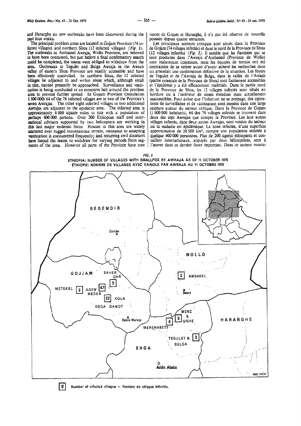and Hararghe no new outbreaks have been discovered during the past four weeks.

The principal problem areas are located in Gojam Province (741nfected villages) and northern Shoa (12 infected villages) (Fig. 3). The outbreaks in Ambassel Awraja, Wollo Province, are believed to have been contamed, but JUSt before a final confirmatory search could be completed, the teams were obliged to withdraw from the area. Outbreaks in Tegulet and Bulga Awraja in the Awash valley of eastern Shoa Provmce are readily accessible and have been effectively controlled. In northern Shoa, the 12 intected villages lie adjacent to and withm areas which, although small in size, cannot presently be approached. Surveillance and vaccination is being conducted m an extensive belt around the problem area to prevent further spread. In Gojam Province (population 1600 000) 64 of the 76 infected vJ!lages are in two of the Province's seven Awrajas. The other eight mfected villages m two additional Awrajas are adjacent to the epidemic area. The infected area is approximately 4 000 square miles in size with a population of perhaps 400 000 persons. Over 200 Ethiopian staff and mternational advisers supported by two helicopters are working in this last major endemic focus. Houses m this area are widely scattered over rugged mountainous terrain; resistance to accepting vaccination is encountered frequently; and recurring civil disorders have forced the teams to withdraw for varying penods from segments of the area. However all parts of the Province have now vinces de Gojam et Hararghe, il n'a pas été observé de nouvelle poussée depuis quatre semaines.

Les principaux secteurs critiques sont situés dans la Province de Gojam (74 villages infectés) et dans le nord de la Province de Shoa (12 villages infectés) ( $Fig. 3$ ). Il semble que les flambées qui se sont produites dans l'Awraja d'Ambassel (Province de Wollo) sont maintenant contenues, mais les équipes de terrain ont été contraintes de se retirer avant d'avoir achevé les recherches dont on attendait une confirmation définitive de la situation. Les foyers de Tegulet et de l'Awraja de Bulga, dans la vallee de !'Awash (partie orientale de Ia Province de Shoa) sont facilement accessibles et l'épidémie y a été efficacement maîtrisée. Dans la partie nord de la Province de Shoa, les 12 villages infectés sont situés en bordure ou à l'intérieur de zones étendues mais actuellement inaccessibles. Pour éviter que l'infection ne se propage, des opérations de surveillance et de vaccination sont menées dans une large ceinture autour du secteur cntique. Dans Ia Provmce de Gojarn (l 600 000 habitants), 64 des 76 v1llages mfectes se trouvent dans deux des sept Awrajas que compte la Province. Les huit autres villages infectés, dans deux autres Awrajas, sont voisins du secteur où la maladie est épidémique. La zone infectée, d'une superficie approximative de 10 500 km<sup>2</sup>, compte une population estimée à quelque 400 000 personnes. Plus de 200 agents éthiopiens et conseillers internationaux, appuyés par deux hélicoptères, sont à l'œuvre dans ce dernier foyer important. Dans ce secteur monta-

*FIG. 3*  ETHIOPIA: NUMBER OF VILLAGES WITH SMALLPOX BY AWRAJA AS OF 11 OCTOBER 1975 ETHIOPIE: NOMBRE DE VILLAGES AVEC VARIOLE PAR AWRAJA AU 11 OCTOBRE 1975



 $|5|$  Number of infected villages  $-$  Nombre de villages infectés.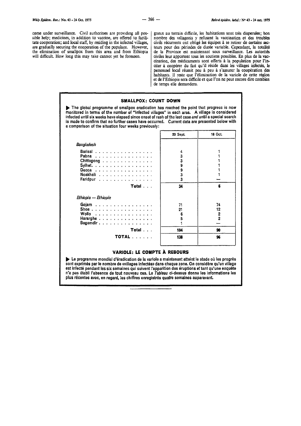come under surveillance. Civil authorities are providing all possible help; medicines, in addition to vaccine, are offered to facilitate cooperation; and local staff, by residing in the infected villages, are gradually securing the cooperation of the populace. However, the elimination of smallpox from this area and from Ethiopia will difficult. How long this may take cannot yet be foreseen.

gneux au terrain difficile, les habitations sont très dispersées; bon nombre des villageois y refusent la vaccination et des troubles civils récurrents ont obligé les équipes à se retirer de certains secteurs pour des périodes de durée variable. Cependant, la totalité de Ia Province est maintenant sous surveillance. Les autorites civiles leur apportent taus les soutiens possibles. En plus de Ia vac- cination, des medicaments sont offerts a Ia population pour !'inciter à coopérer du fait qu'il réside dans les villages infectés, le personnel local reussit peu à peu à s'assurer la coopération des habitants. Il reste que l'élimination de la variole de cette région et de l'Ethiopie sera difficile et que l'on ne peut encore dire combien de temps e!le demandera.

#### SMALLPOX: COUNT DOWN

.... The global programme of smallpox eradication has reached the point that progress is now monitored in terms of the number of "infected villages" in each area. A village is considered infected until six weeks have elapsed since onset of rash of the last case and until a special search is made to confirm that no further cases have occurred. Current data are presented below with a comparison of the situation four weeks previously:

|                       | 20 Sept. | 18 Oct.       |
|-----------------------|----------|---------------|
| Bangladesh            |          |               |
| Barisal               | 4        |               |
| Pabna                 | 3        |               |
| Chittagong            | 3        |               |
| Sylhet.               | 9        |               |
| Dacca                 | 9        |               |
| Noakhali              | 3        |               |
| Faridpur              | 3        |               |
| Total                 | 34       | 6             |
| Ethiopia — Ethiopie   |          |               |
| Gojam                 | 71       |               |
|                       |          | 74            |
|                       | 21       | 12            |
| Shoa                  | 6        |               |
| Wollo                 | 5        | $\frac{2}{2}$ |
| Hararghe<br>Begemdir. |          |               |
| Total                 | 104      | 90            |

## **VARIOLE: LE COMPTE À REBOURS**

 $\blacktriangleright$  Le programme mondial d'éradication de la variole a maintenant atteint le stade où les progrès sont exprimés par le nombre de «villages infectés» dans chaque zone. On considère qu'un village est infecté pendant les six semaines qui suivent l'apparition des éruptions et tant qu'une enquête n'a pas établi l'absence de tout nouveau cas. Le Tableau ci-dessus donne les informations les plus récentes avec, en regard, les chiffres enregistrés quatre semaines auparavant.